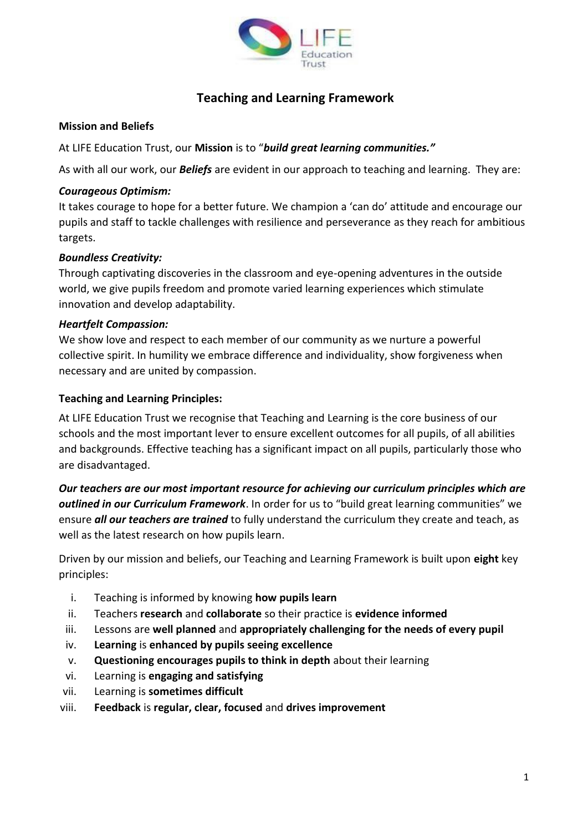

# **Teaching and Learning Framework**

## **Mission and Beliefs**

At LIFE Education Trust, our **Mission** is to "*build great learning communities."*

As with all our work, our *Beliefs* are evident in our approach to teaching and learning. They are:

## *Courageous Optimism:*

It takes courage to hope for a better future. We champion a 'can do' attitude and encourage our pupils and staff to tackle challenges with resilience and perseverance as they reach for ambitious targets.

# *Boundless Creativity:*

Through captivating discoveries in the classroom and eye-opening adventures in the outside world, we give pupils freedom and promote varied learning experiences which stimulate innovation and develop adaptability.

#### *Heartfelt Compassion:*

We show love and respect to each member of our community as we nurture a powerful collective spirit. In humility we embrace difference and individuality, show forgiveness when necessary and are united by compassion.

#### **Teaching and Learning Principles:**

At LIFE Education Trust we recognise that Teaching and Learning is the core business of our schools and the most important lever to ensure excellent outcomes for all pupils, of all abilities and backgrounds. Effective teaching has a significant impact on all pupils, particularly those who are disadvantaged.

*Our teachers are our most important resource for achieving our curriculum principles which are outlined in our Curriculum Framework*. In order for us to "build great learning communities" we ensure *all our teachers are trained* to fully understand the curriculum they create and teach, as well as the latest research on how pupils learn.

Driven by our mission and beliefs, our Teaching and Learning Framework is built upon **eight** key principles:

- i. Teaching is informed by knowing **how pupils learn**
- ii. Teachers **research** and **collaborate** so their practice is **evidence informed**
- iii. Lessons are **well planned** and **appropriately challenging for the needs of every pupil**
- iv. **Learning** is **enhanced by pupils seeing excellence**
- v. **Questioning encourages pupils to think in depth** about their learning
- vi. Learning is **engaging and satisfying**
- vii. Learning is **sometimes difficult**
- viii. **Feedback** is **regular, clear, focused** and **drives improvement**